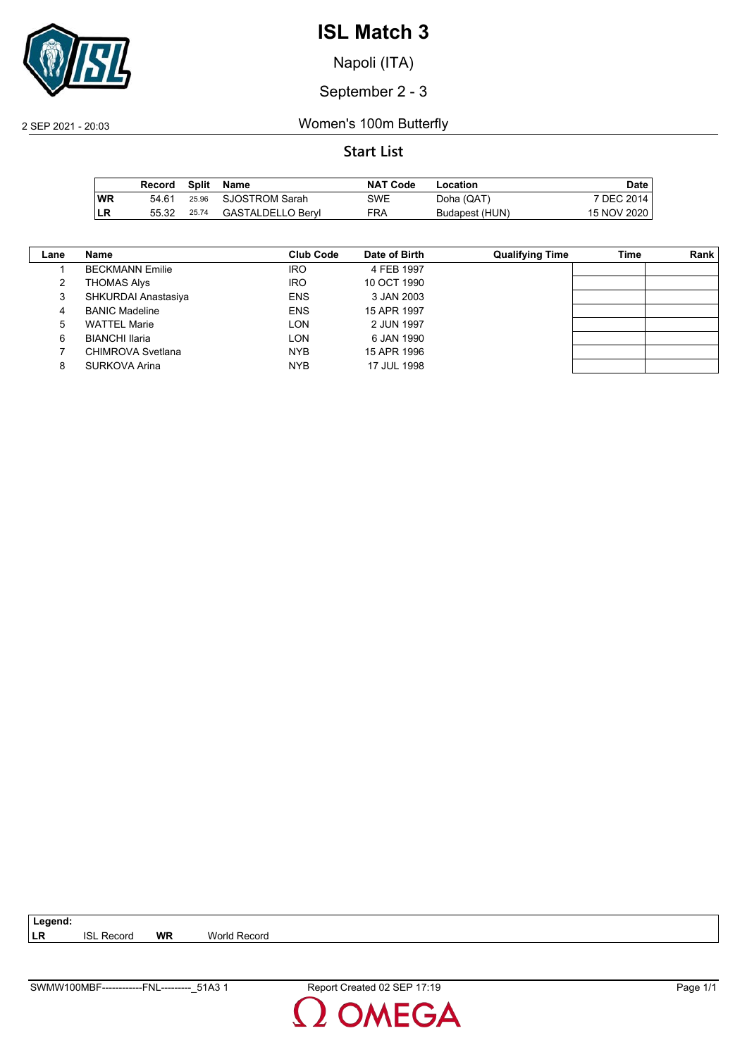

Napoli (ITA)

September 2 - 3

2 SEP 2021 - 20:03 Women's 100m Butterfly

|           | Record | Split | Name                 | <b>NAT Code</b> | Location       | <b>Date</b> |
|-----------|--------|-------|----------------------|-----------------|----------------|-------------|
| <b>WR</b> | 54.61  |       | 25.96 SJOSTROM Sarah | SWE             | Doha (QAT)     | 7 DEC 2014  |
| <b>LR</b> | 55.32  | 25.74 | GASTALDELLO Bervl    | FRA             | Budapest (HUN) | 15 NOV 2020 |

| Lane | Name                   | Club Code  | Date of Birth | <b>Qualifying Time</b> | Time | Rank |
|------|------------------------|------------|---------------|------------------------|------|------|
|      | <b>BECKMANN Emilie</b> | <b>IRO</b> | 4 FEB 1997    |                        |      |      |
| 2    | THOMAS Alys            | <b>IRO</b> | 10 OCT 1990   |                        |      |      |
| 3    | SHKURDAI Anastasiya    | <b>ENS</b> | 3 JAN 2003    |                        |      |      |
| 4    | <b>BANIC Madeline</b>  | <b>ENS</b> | 15 APR 1997   |                        |      |      |
| 5    | <b>WATTEL Marie</b>    | LON        | 2 JUN 1997    |                        |      |      |
| 6    | <b>BIANCHI Ilaria</b>  | LON        | 6 JAN 1990    |                        |      |      |
|      | CHIMROVA Svetlana      | <b>NYB</b> | 15 APR 1996   |                        |      |      |
| 8    | SURKOVA Arina          | <b>NYB</b> | 17 JUL 1998   |                        |      |      |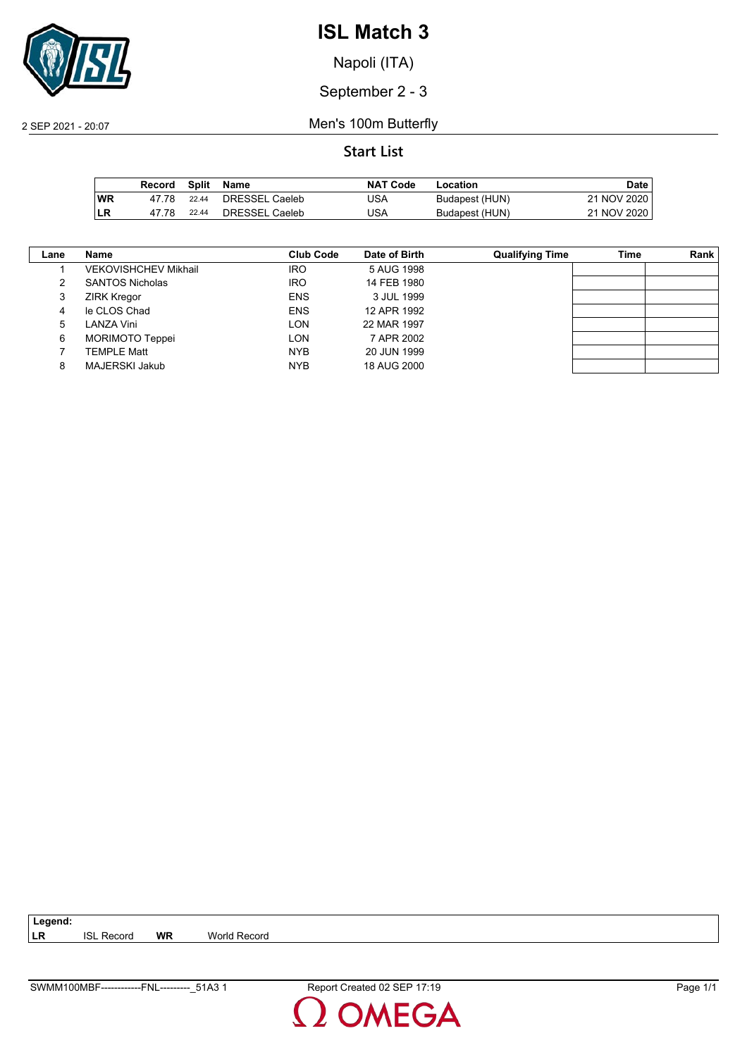

Napoli (ITA)

September 2 - 3

2 SEP 2021 - 20:07 Men's 100m Butterfly

**Start List**

|           | Record | Split | Name           | <b>NAT Code</b> | Location       | Date l      |
|-----------|--------|-------|----------------|-----------------|----------------|-------------|
| <b>WR</b> | 47 78  | 22.44 | DRESSEL Caeleb | JSA             | Budapest (HUN) | 21 NOV 2020 |
| ∣LR       | 47 78  | 22.44 | DRESSEL Caeleb | JSA             | Budapest (HUN) | 21 NOV 2020 |

| Lane | Name                        | Club Code  | Date of Birth | <b>Qualifying Time</b> | Time | Rank |
|------|-----------------------------|------------|---------------|------------------------|------|------|
|      | <b>VEKOVISHCHEV Mikhail</b> | <b>IRO</b> | 5 AUG 1998    |                        |      |      |
|      | <b>SANTOS Nicholas</b>      | <b>IRO</b> | 14 FEB 1980   |                        |      |      |
| 3    | <b>ZIRK Kregor</b>          | <b>ENS</b> | 3 JUL 1999    |                        |      |      |
| 4    | le CLOS Chad                | <b>ENS</b> | 12 APR 1992   |                        |      |      |
| 5    | LANZA Vini                  | <b>LON</b> | 22 MAR 1997   |                        |      |      |
| 6    | MORIMOTO Teppei             | <b>LON</b> | 7 APR 2002    |                        |      |      |
|      | <b>TEMPLE Matt</b>          | <b>NYB</b> | 20 JUN 1999   |                        |      |      |
| 8    | <b>MAJERSKI Jakub</b>       | <b>NYB</b> | 18 AUG 2000   |                        |      |      |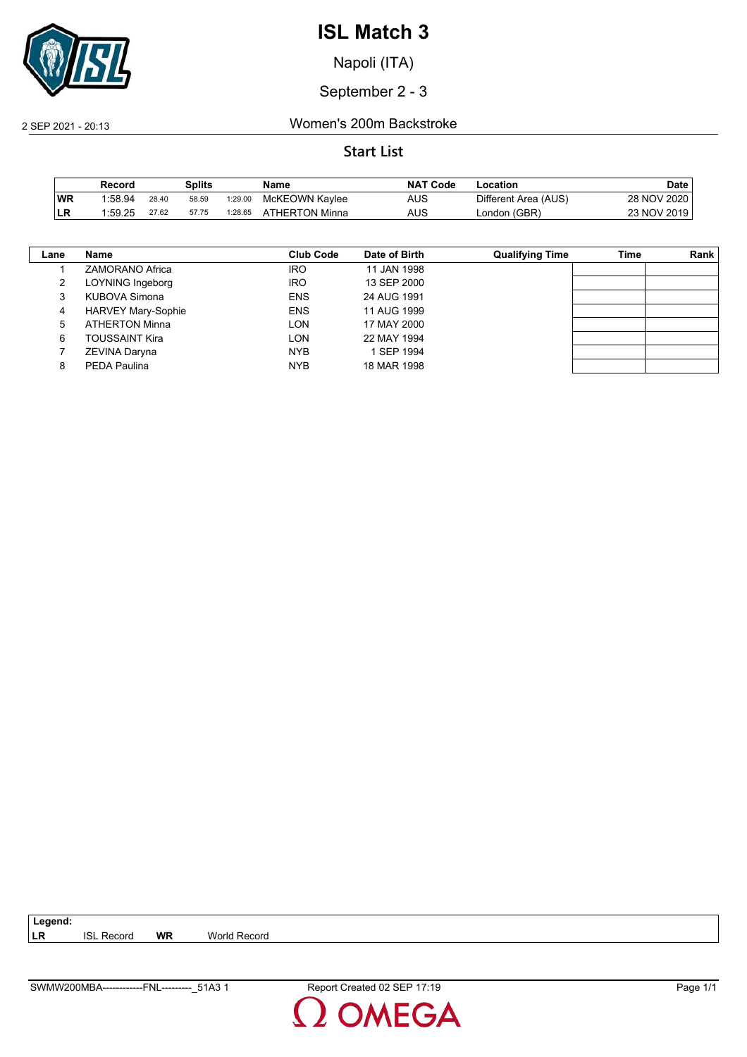

Napoli (ITA)

September 2 - 3

2 SEP 2021 - 20:13 Women's 200m Backstroke

#### **Start List**

|           | Record  |       | Splits |         | Name           | <b>NAT</b><br>' Code | -ocation             | Date        |
|-----------|---------|-------|--------|---------|----------------|----------------------|----------------------|-------------|
| <b>WR</b> | 1:58.94 | 28.40 | 58.59  | 1:29.00 | McKEOWN Kaylee | AUS                  | Different Area (AUS) | 28 NOV 2020 |
| ILR       | 1:59.25 | 27.62 | 57.75  | 1:28.65 | ATHERTON Minna | AUS                  | London (GBR)         | 23 NOV 2019 |

| Lane | Name                      | <b>Club Code</b> | Date of Birth | <b>Qualifying Time</b> | Time | Rank |
|------|---------------------------|------------------|---------------|------------------------|------|------|
|      | ZAMORANO Africa           | <b>IRO</b>       | 11 JAN 1998   |                        |      |      |
| 2    | LOYNING Ingeborg          | <b>IRO</b>       | 13 SEP 2000   |                        |      |      |
| 3    | KUBOVA Simona             | <b>ENS</b>       | 24 AUG 1991   |                        |      |      |
| 4    | <b>HARVEY Mary-Sophie</b> | <b>ENS</b>       | 11 AUG 1999   |                        |      |      |
| 5    | <b>ATHERTON Minna</b>     | LON              | 17 MAY 2000   |                        |      |      |
| 6    | TOUSSAINT Kira            | LON              | 22 MAY 1994   |                        |      |      |
|      | ZEVINA Daryna             | <b>NYB</b>       | 1 SEP 1994    |                        |      |      |
| 8    | PEDA Paulina              | <b>NYB</b>       | 18 MAR 1998   |                        |      |      |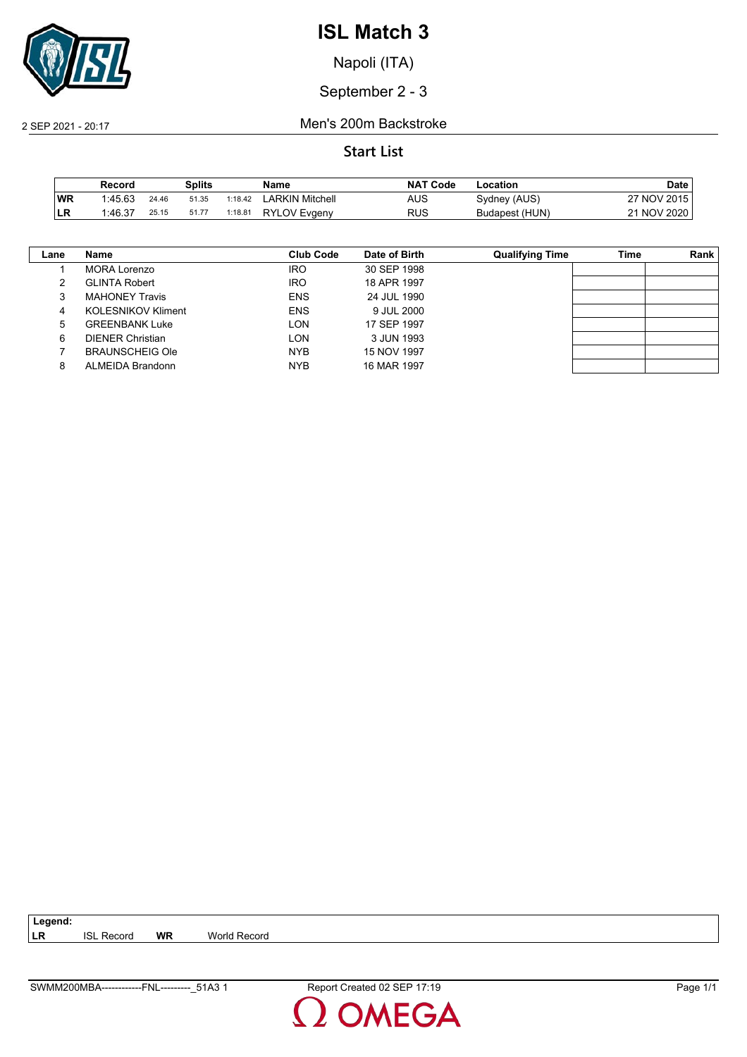

Napoli (ITA)

September 2 - 3

2 SEP 2021 - 20:17 Men's 200m Backstroke

**Start List**

|           | Record  |       | Splits |         | Name                   | <b>NAT</b><br>ˈ Code | -ocation       | Date        |
|-----------|---------|-------|--------|---------|------------------------|----------------------|----------------|-------------|
| <b>WR</b> | 1.45.63 | 24.46 | 51.35  | 1:18.42 | <b>LARKIN Mitchell</b> | AUS                  | Sydney (AUS)   | 27 NOV 2015 |
| ILR       | 1:46.37 | 25.15 | 51.77  | 1:18.81 | <b>RYLOV Evgeny</b>    | RUS                  | Budapest (HUN) | 21 NOV 2020 |

| Lane | Name                      | Club Code  | Date of Birth | <b>Qualifying Time</b> | Time | Rank |
|------|---------------------------|------------|---------------|------------------------|------|------|
|      | MORA Lorenzo              | <b>IRO</b> | 30 SEP 1998   |                        |      |      |
|      | <b>GLINTA Robert</b>      | <b>IRO</b> | 18 APR 1997   |                        |      |      |
| 3    | <b>MAHONEY Travis</b>     | <b>ENS</b> | 24 JUL 1990   |                        |      |      |
| 4    | <b>KOLESNIKOV Kliment</b> | <b>ENS</b> | 9 JUL 2000    |                        |      |      |
| 5    | <b>GREENBANK Luke</b>     | LON        | 17 SEP 1997   |                        |      |      |
| 6    | <b>DIENER Christian</b>   | LON        | 3 JUN 1993    |                        |      |      |
|      | <b>BRAUNSCHEIG Ole</b>    | <b>NYB</b> | 15 NOV 1997   |                        |      |      |
| 8    | ALMEIDA Brandonn          | <b>NYB</b> | 16 MAR 1997   |                        |      |      |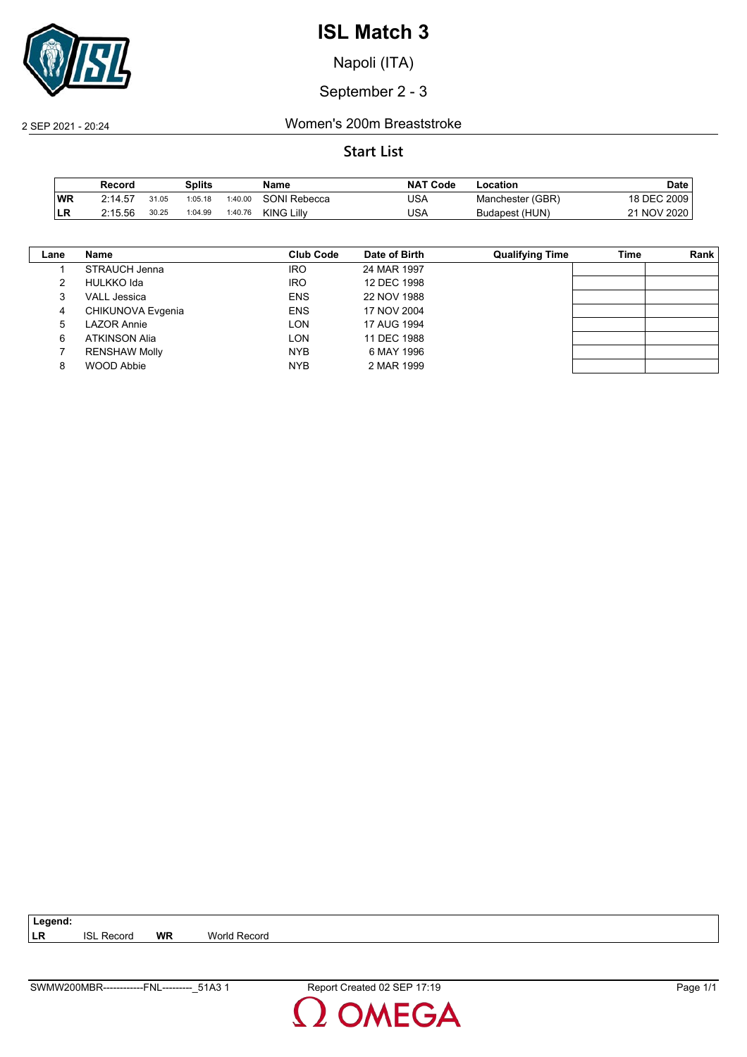

Napoli (ITA)

September 2 - 3

#### 2 SEP 2021 - 20:24 Women's 200m Breaststroke

|           | Record  |       | Splits  |         | Name              | <b>NAT Code</b> | ∟ocation         | Date        |
|-----------|---------|-------|---------|---------|-------------------|-----------------|------------------|-------------|
| <b>WR</b> | 2:14.57 | 31.05 | 1:05.18 | 1:40.00 | SONI Rebecca      | USA             | Manchester (GBR) | 18 DEC 2009 |
| ILR       | 2:15.56 | 30.25 | 1:04.99 | 1:40.76 | <b>KING Lilly</b> | USA             | Budapest (HUN)   | 21 NOV 2020 |

| Lane | Name                 | Club Code  | Date of Birth | <b>Qualifying Time</b> | Time | Rank |
|------|----------------------|------------|---------------|------------------------|------|------|
|      | STRAUCH Jenna        | <b>IRO</b> | 24 MAR 1997   |                        |      |      |
|      | <b>HULKKO</b> Ida    | <b>IRO</b> | 12 DEC 1998   |                        |      |      |
|      | <b>VALL Jessica</b>  | <b>ENS</b> | 22 NOV 1988   |                        |      |      |
| 4    | CHIKUNOVA Evgenia    | <b>ENS</b> | 17 NOV 2004   |                        |      |      |
| 5    | <b>LAZOR Annie</b>   | LON        | 17 AUG 1994   |                        |      |      |
| 6    | <b>ATKINSON Alia</b> | LON        | 11 DEC 1988   |                        |      |      |
|      | <b>RENSHAW Molly</b> | <b>NYB</b> | 6 MAY 1996    |                        |      |      |
|      | <b>WOOD Abbie</b>    | <b>NYB</b> | 2 MAR 1999    |                        |      |      |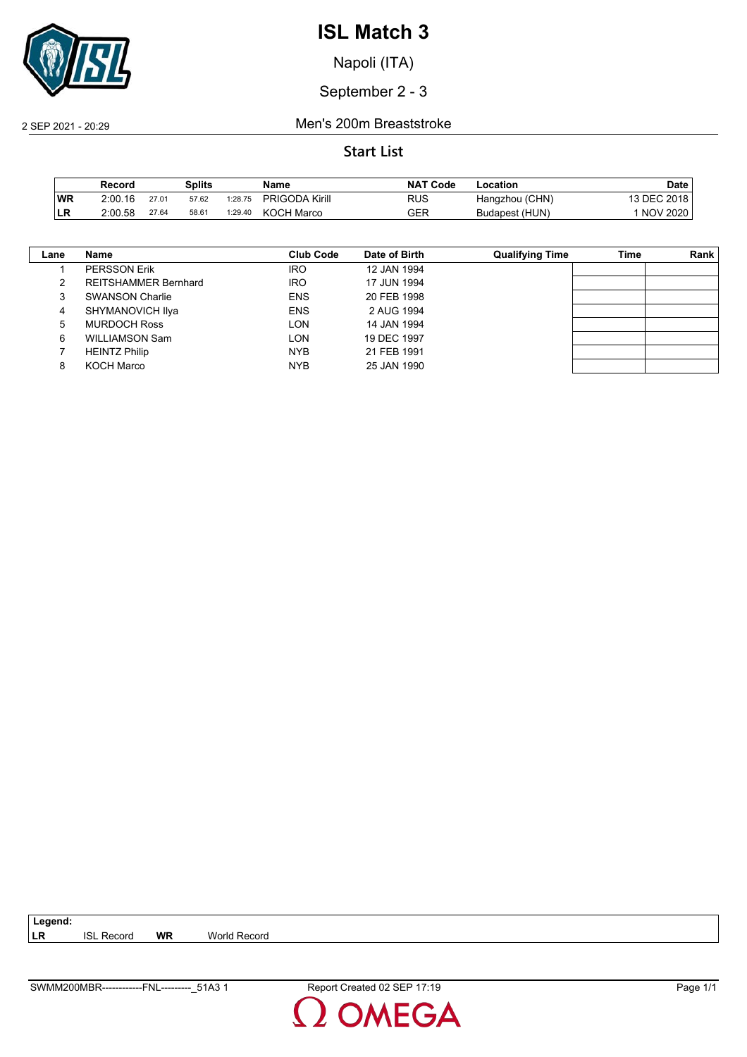

Napoli (ITA)

September 2 - 3

2 SEP 2021 - 20:29 Men's 200m Breaststroke

#### **Start List**

|     | Record  |       | Splits |         | Name                  | <b>NAT Code</b> | -ocation       | Date            |
|-----|---------|-------|--------|---------|-----------------------|-----------------|----------------|-----------------|
| ∣WR | 2:00.16 | 27.01 | 57.62  | 1:28.75 | <b>PRIGODA Kirill</b> | RUS             | Hangzhou (CHN) | 13 DEC 2018     |
| LR  | 2:00.58 | 27.64 | 58.61  | 1:29.40 | KOCH Marco            | GER             | Budapest (HUN) | <b>NOV 2020</b> |

| Lane | Name                        | Club Code  | Date of Birth | <b>Qualifying Time</b> | <b>Time</b> | Rank |
|------|-----------------------------|------------|---------------|------------------------|-------------|------|
|      | <b>PERSSON Erik</b>         | <b>IRO</b> | 12 JAN 1994   |                        |             |      |
| 2    | <b>REITSHAMMER Bernhard</b> | <b>IRO</b> | 17 JUN 1994   |                        |             |      |
| 3    | <b>SWANSON Charlie</b>      | <b>ENS</b> | 20 FEB 1998   |                        |             |      |
| 4    | SHYMANOVICH Ilya            | <b>ENS</b> | 2 AUG 1994    |                        |             |      |
| 5    | <b>MURDOCH Ross</b>         | <b>LON</b> | 14 JAN 1994   |                        |             |      |
| 6    | <b>WILLIAMSON Sam</b>       | <b>LON</b> | 19 DEC 1997   |                        |             |      |
|      | <b>HEINTZ Philip</b>        | <b>NYB</b> | 21 FEB 1991   |                        |             |      |
| 8    | <b>KOCH Marco</b>           | <b>NYB</b> | 25 JAN 1990   |                        |             |      |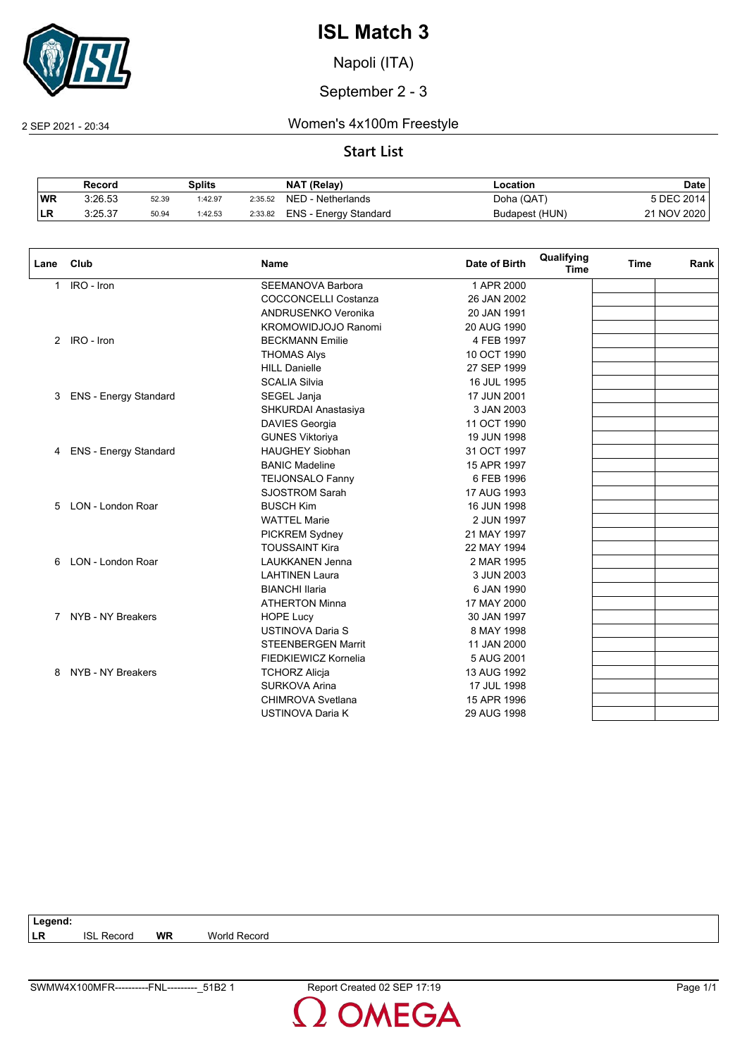

Napoli (ITA)

September 2 - 3

2 SEP 2021 - 20:34 Women's 4x100m Freestyle

### **Start List**

|           | Record  |       | Splits  |         | NAT (Relay)           | Location       | Date        |
|-----------|---------|-------|---------|---------|-----------------------|----------------|-------------|
| <b>WR</b> | 3:26.53 | 52.39 | 1:42.97 | 2:35.52 | NED - Netherlands     | Doha (QAT)     | 5 DEC 2014  |
| <b>LR</b> | 3:25.37 | 50.94 | 1:42.53 | 2:33.82 | ENS - Energy Standard | Budapest (HUN) | 21 NOV 2020 |

| Lane         | Club                    | <b>Name</b>                 | Date of Birth | Qualifying<br><b>Time</b> | <b>Time</b> | Rank |
|--------------|-------------------------|-----------------------------|---------------|---------------------------|-------------|------|
| $\mathbf{1}$ | IRO - Iron              | <b>SEEMANOVA Barbora</b>    | 1 APR 2000    |                           |             |      |
|              |                         | <b>COCCONCELLI Costanza</b> | 26 JAN 2002   |                           |             |      |
|              |                         | ANDRUSENKO Veronika         | 20 JAN 1991   |                           |             |      |
|              |                         | KROMOWIDJOJO Ranomi         | 20 AUG 1990   |                           |             |      |
|              | 2 IRO - Iron            | <b>BECKMANN Emilie</b>      | 4 FEB 1997    |                           |             |      |
|              |                         | <b>THOMAS Alys</b>          | 10 OCT 1990   |                           |             |      |
|              |                         | <b>HILL Danielle</b>        | 27 SEP 1999   |                           |             |      |
|              |                         | <b>SCALIA Silvia</b>        | 16 JUL 1995   |                           |             |      |
| 3            | ENS - Energy Standard   | SEGEL Janja                 | 17 JUN 2001   |                           |             |      |
|              |                         | SHKURDAI Anastasiya         | 3 JAN 2003    |                           |             |      |
|              |                         | <b>DAVIES Georgia</b>       | 11 OCT 1990   |                           |             |      |
|              |                         | <b>GUNES Viktoriya</b>      | 19 JUN 1998   |                           |             |      |
|              | 4 ENS - Energy Standard | <b>HAUGHEY Siobhan</b>      | 31 OCT 1997   |                           |             |      |
|              |                         | <b>BANIC Madeline</b>       | 15 APR 1997   |                           |             |      |
|              |                         | TEIJONSALO Fanny            | 6 FEB 1996    |                           |             |      |
|              |                         | <b>SJOSTROM Sarah</b>       | 17 AUG 1993   |                           |             |      |
|              | 5 LON - London Roar     | <b>BUSCH Kim</b>            | 16 JUN 1998   |                           |             |      |
|              |                         | <b>WATTEL Marie</b>         | 2 JUN 1997    |                           |             |      |
|              |                         | PICKREM Sydney              | 21 MAY 1997   |                           |             |      |
|              |                         | <b>TOUSSAINT Kira</b>       | 22 MAY 1994   |                           |             |      |
| 6            | LON - London Roar       | <b>LAUKKANEN Jenna</b>      | 2 MAR 1995    |                           |             |      |
|              |                         | <b>LAHTINEN Laura</b>       | 3 JUN 2003    |                           |             |      |
|              |                         | <b>BIANCHI Ilaria</b>       | 6 JAN 1990    |                           |             |      |
|              |                         | <b>ATHERTON Minna</b>       | 17 MAY 2000   |                           |             |      |
|              | 7 NYB - NY Breakers     | <b>HOPE Lucy</b>            | 30 JAN 1997   |                           |             |      |
|              |                         | <b>USTINOVA Daria S</b>     | 8 MAY 1998    |                           |             |      |
|              |                         | <b>STEENBERGEN Marrit</b>   | 11 JAN 2000   |                           |             |      |
|              |                         | FIEDKIEWICZ Kornelia        | 5 AUG 2001    |                           |             |      |
| 8            | NYB - NY Breakers       | <b>TCHORZ Alicja</b>        | 13 AUG 1992   |                           |             |      |
|              |                         | <b>SURKOVA Arina</b>        | 17 JUL 1998   |                           |             |      |
|              |                         | CHIMROVA Svetlana           | 15 APR 1996   |                           |             |      |
|              |                         | <b>USTINOVA Daria K</b>     | 29 AUG 1998   |                           |             |      |

| Legend:   |                   |           |              |
|-----------|-------------------|-----------|--------------|
| <b>LR</b> | <b>ISL Record</b> | <b>WR</b> | World Record |
|           |                   |           |              |
|           |                   |           |              |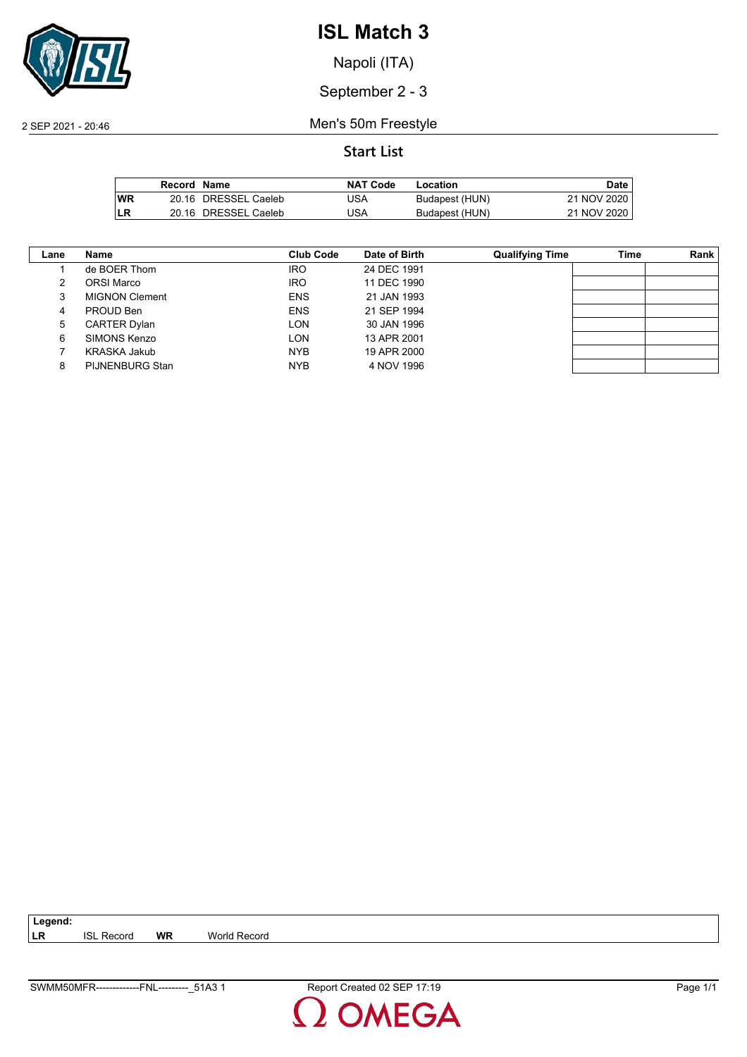

Napoli (ITA)

September 2 - 3

2 SEP 2021 - 20:46 Men's 50m Freestyle

|           | Record Name |                      | <b>NAT Code</b> | Location       | Date I      |
|-----------|-------------|----------------------|-----------------|----------------|-------------|
| <b>WR</b> |             | 20.16 DRESSEL Caeleb | JSA             | Budapest (HUN) | 21 NOV 2020 |
| LR        |             | 20.16 DRESSEL Caeleb | JSA             | Budapest (HUN) | 21 NOV 2020 |

| Lane | Name                  | <b>Club Code</b> | Date of Birth | <b>Qualifying Time</b> | Time | Rank |
|------|-----------------------|------------------|---------------|------------------------|------|------|
|      | de BOER Thom          | <b>IRO</b>       | 24 DEC 1991   |                        |      |      |
|      | ORSI Marco            | <b>IRO</b>       | 11 DEC 1990   |                        |      |      |
| 3    | <b>MIGNON Clement</b> | <b>ENS</b>       | 21 JAN 1993   |                        |      |      |
| 4    | PROUD Ben             | <b>ENS</b>       | 21 SEP 1994   |                        |      |      |
| 5    | <b>CARTER Dylan</b>   | LON              | 30 JAN 1996   |                        |      |      |
| 6    | SIMONS Kenzo          | LON              | 13 APR 2001   |                        |      |      |
|      | KRASKA Jakub          | <b>NYB</b>       | 19 APR 2000   |                        |      |      |
| 8    | PIJNENBURG Stan       | <b>NYB</b>       | 4 NOV 1996    |                        |      |      |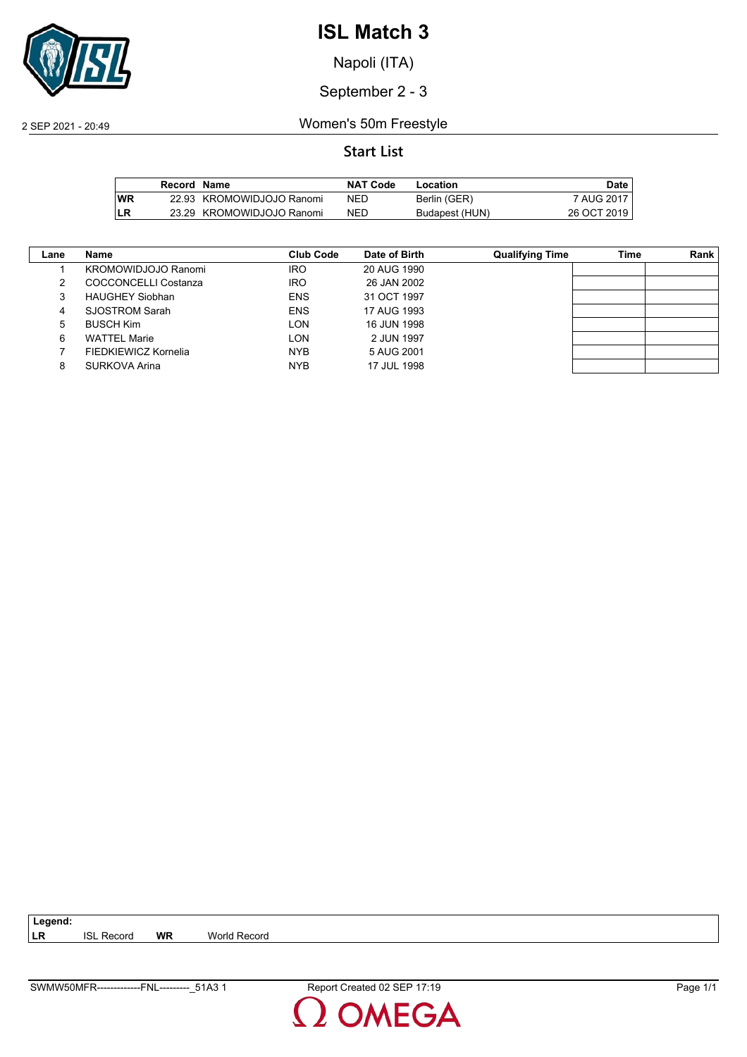

Napoli (ITA)

September 2 - 3

2 SEP 2021 - 20:49 Women's 50m Freestyle

|      | Record Name |                           | <b>NAT Code</b> | Location       | Date        |
|------|-------------|---------------------------|-----------------|----------------|-------------|
| l WR |             | 22.93 KROMOWIDJOJO Ranomi | NED             | Berlin (GER)   | 7 AUG 2017  |
| ILR  |             | 23.29 KROMOWIDJOJO Ranomi | NED             | Budapest (HUN) | 26 OCT 2019 |

| Lane | Name                       | Club Code  | Date of Birth | <b>Qualifying Time</b> | <b>Time</b> | Rank |
|------|----------------------------|------------|---------------|------------------------|-------------|------|
|      | <b>KROMOWIDJOJO Ranomi</b> | <b>IRO</b> | 20 AUG 1990   |                        |             |      |
| 2    | COCCONCELLI Costanza       | <b>IRO</b> | 26 JAN 2002   |                        |             |      |
| 3    | <b>HAUGHEY Siobhan</b>     | <b>ENS</b> | 31 OCT 1997   |                        |             |      |
| 4    | SJOSTROM Sarah             | <b>ENS</b> | 17 AUG 1993   |                        |             |      |
| 5    | <b>BUSCH Kim</b>           | LON        | 16 JUN 1998   |                        |             |      |
| 6    | <b>WATTEL Marie</b>        | LON        | 2 JUN 1997    |                        |             |      |
|      | FIEDKIEWICZ Kornelia       | <b>NYB</b> | 5 AUG 2001    |                        |             |      |
| 8    | SURKOVA Arina              | <b>NYB</b> | 17 JUL 1998   |                        |             |      |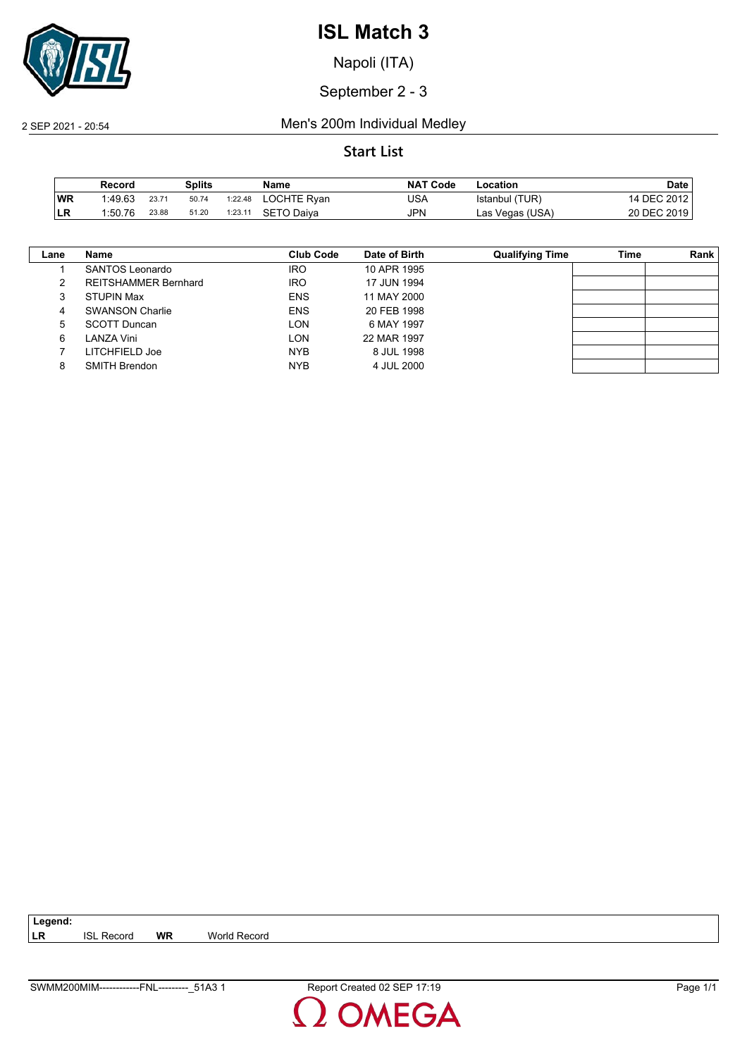

Napoli (ITA)

September 2 - 3

#### 2 SEP 2021 - 20:54 Men's 200m Individual Medley

|           | Record  |       | Splits |         | Name        | <b>NAT Code</b> | ∟ocation        | <b>Date</b> |
|-----------|---------|-------|--------|---------|-------------|-----------------|-----------------|-------------|
| <b>WR</b> | 1:49.63 | 23.71 | 50.74  | 1:22.48 | LOCHTE Ryan | USA             | Istanbul (TUR)  | 14 DEC 2012 |
| ILR       | 1:50.76 | 23.88 | 51.20  | 1:23.11 | SETO Daiva  | JPN             | Las Vegas (USA) | 20 DEC 2019 |

| Lane | Name                        | Club Code  | Date of Birth | <b>Qualifying Time</b> | Time | Rank |
|------|-----------------------------|------------|---------------|------------------------|------|------|
|      | SANTOS Leonardo             | <b>IRO</b> | 10 APR 1995   |                        |      |      |
|      | <b>REITSHAMMER Bernhard</b> | <b>IRO</b> | 17 JUN 1994   |                        |      |      |
| 3    | <b>STUPIN Max</b>           | <b>ENS</b> | 11 MAY 2000   |                        |      |      |
| 4    | <b>SWANSON Charlie</b>      | <b>ENS</b> | 20 FEB 1998   |                        |      |      |
| 5    | <b>SCOTT Duncan</b>         | <b>LON</b> | 6 MAY 1997    |                        |      |      |
| 6    | LANZA Vini                  | <b>LON</b> | 22 MAR 1997   |                        |      |      |
|      | LITCHFIELD Joe              | <b>NYB</b> | 8 JUL 1998    |                        |      |      |
| 8    | <b>SMITH Brendon</b>        | <b>NYB</b> | 4 JUL 2000    |                        |      |      |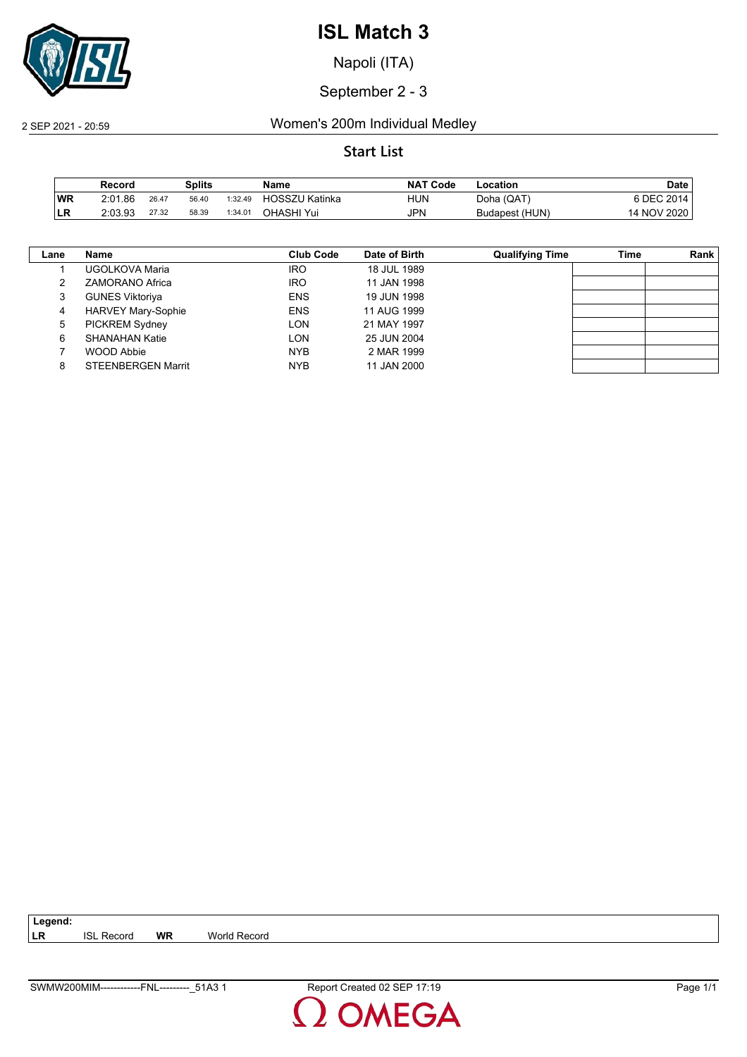

Napoli (ITA)

September 2 - 3

2 SEP 2021 - 20:59 Women's 200m Individual Medley

|     | Record  |       | Splits |         | Name                  | <b>NAT</b><br><b>Code</b> | ∟ocation       | <b>Date</b> |
|-----|---------|-------|--------|---------|-----------------------|---------------------------|----------------|-------------|
| ∣WR | 2:01.86 | 26.47 | 56.40  | 1:32.49 | <b>HOSSZU Katinka</b> | HUN                       | Doha (QAT)     | 6 DEC 2014  |
| LR  | 2:03.93 | 27.32 | 58.39  | 1:34.01 | OHASHI Yui            | <b>JPN</b>                | Budapest (HUN) | 14 NOV 2020 |

| Lane | Name                      | Club Code  | Date of Birth | <b>Qualifying Time</b> | <b>Time</b> | <b>Rank</b> |
|------|---------------------------|------------|---------------|------------------------|-------------|-------------|
|      | UGOLKOVA Maria            | <b>IRO</b> | 18 JUL 1989   |                        |             |             |
|      | <b>ZAMORANO Africa</b>    | <b>IRO</b> | 11 JAN 1998   |                        |             |             |
| 3    | <b>GUNES Viktoriya</b>    | <b>ENS</b> | 19 JUN 1998   |                        |             |             |
| 4    | <b>HARVEY Mary-Sophie</b> | <b>ENS</b> | 11 AUG 1999   |                        |             |             |
| 5    | <b>PICKREM Sydney</b>     | <b>LON</b> | 21 MAY 1997   |                        |             |             |
| 6    | SHANAHAN Katie            | <b>LON</b> | 25 JUN 2004   |                        |             |             |
|      | WOOD Abbie                | <b>NYB</b> | 2 MAR 1999    |                        |             |             |
| 8    | <b>STEENBERGEN Marrit</b> | <b>NYB</b> | 11 JAN 2000   |                        |             |             |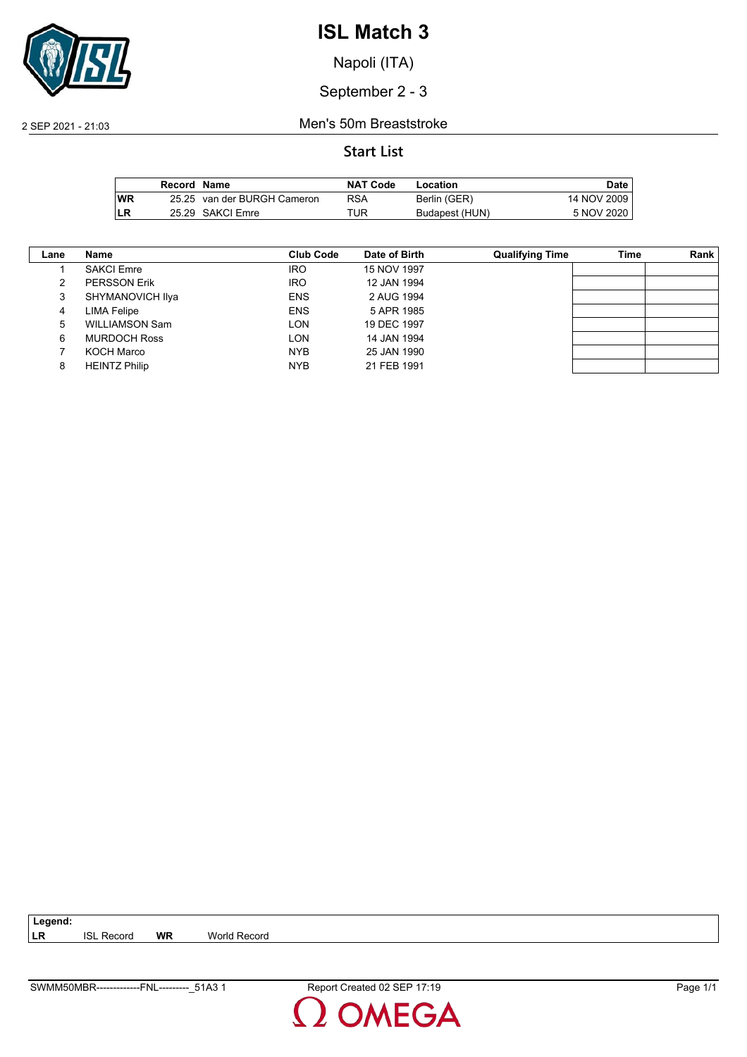

Napoli (ITA)

September 2 - 3

2 SEP 2021 - 21:03 Men's 50m Breaststroke

|           | Record Name |                             | <b>NAT Code</b> | Location       | Date        |
|-----------|-------------|-----------------------------|-----------------|----------------|-------------|
| <b>WR</b> |             | 25.25 van der BURGH Cameron | RSA             | Berlin (GER)   | 14 NOV 2009 |
| LR        |             | 25.29 SAKCI Emre            | TUR             | Budapest (HUN) | 5 NOV 2020  |

| Lane | Name                  | <b>Club Code</b> | Date of Birth | <b>Qualifying Time</b> | Time | Rank |
|------|-----------------------|------------------|---------------|------------------------|------|------|
|      | <b>SAKCI Emre</b>     | <b>IRO</b>       | 15 NOV 1997   |                        |      |      |
|      | <b>PERSSON Erik</b>   | <b>IRO</b>       | 12 JAN 1994   |                        |      |      |
| 3    | SHYMANOVICH Ilya      | <b>ENS</b>       | 2 AUG 1994    |                        |      |      |
| 4    | <b>LIMA Felipe</b>    | <b>ENS</b>       | 5 APR 1985    |                        |      |      |
| 5    | <b>WILLIAMSON Sam</b> | LON              | 19 DEC 1997   |                        |      |      |
| 6    | <b>MURDOCH Ross</b>   | LON              | 14 JAN 1994   |                        |      |      |
|      | <b>KOCH Marco</b>     | <b>NYB</b>       | 25 JAN 1990   |                        |      |      |
| 8    | <b>HEINTZ Philip</b>  | <b>NYB</b>       | 21 FEB 1991   |                        |      |      |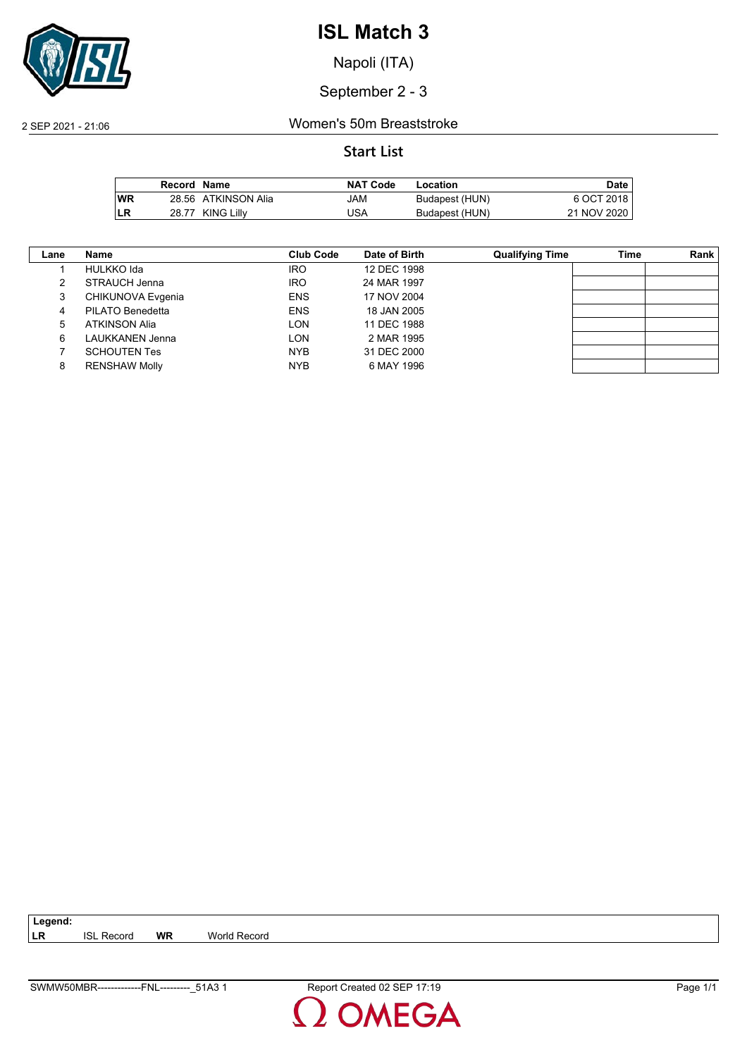

Napoli (ITA)

September 2 - 3

2 SEP 2021 - 21:06 Women's 50m Breaststroke

|           | Record Name |                     | <b>NAT Code</b> | Location       | <b>Date</b> |
|-----------|-------------|---------------------|-----------------|----------------|-------------|
| <b>WR</b> |             | 28.56 ATKINSON Alia | JAM             | Budapest (HUN) | 6 OCT 2018  |
| LR        | 28.77       | <b>KING Lilly</b>   | USA             | Budapest (HUN) | 21 NOV 2020 |

| Lane | Name                 | <b>Club Code</b> | Date of Birth | <b>Qualifying Time</b> | Time | Rank |
|------|----------------------|------------------|---------------|------------------------|------|------|
|      | HULKKO Ida           | <b>IRO</b>       | 12 DEC 1998   |                        |      |      |
|      | STRAUCH Jenna        | <b>IRO</b>       | 24 MAR 1997   |                        |      |      |
| 3    | CHIKUNOVA Evgenia    | <b>ENS</b>       | 17 NOV 2004   |                        |      |      |
| 4    | PILATO Benedetta     | <b>ENS</b>       | 18 JAN 2005   |                        |      |      |
| 5    | <b>ATKINSON Alia</b> | LON              | 11 DEC 1988   |                        |      |      |
| 6    | LAUKKANEN Jenna      | LON              | 2 MAR 1995    |                        |      |      |
|      | <b>SCHOUTEN Tes</b>  | <b>NYB</b>       | 31 DEC 2000   |                        |      |      |
| 8    | <b>RENSHAW Molly</b> | <b>NYB</b>       | 6 MAY 1996    |                        |      |      |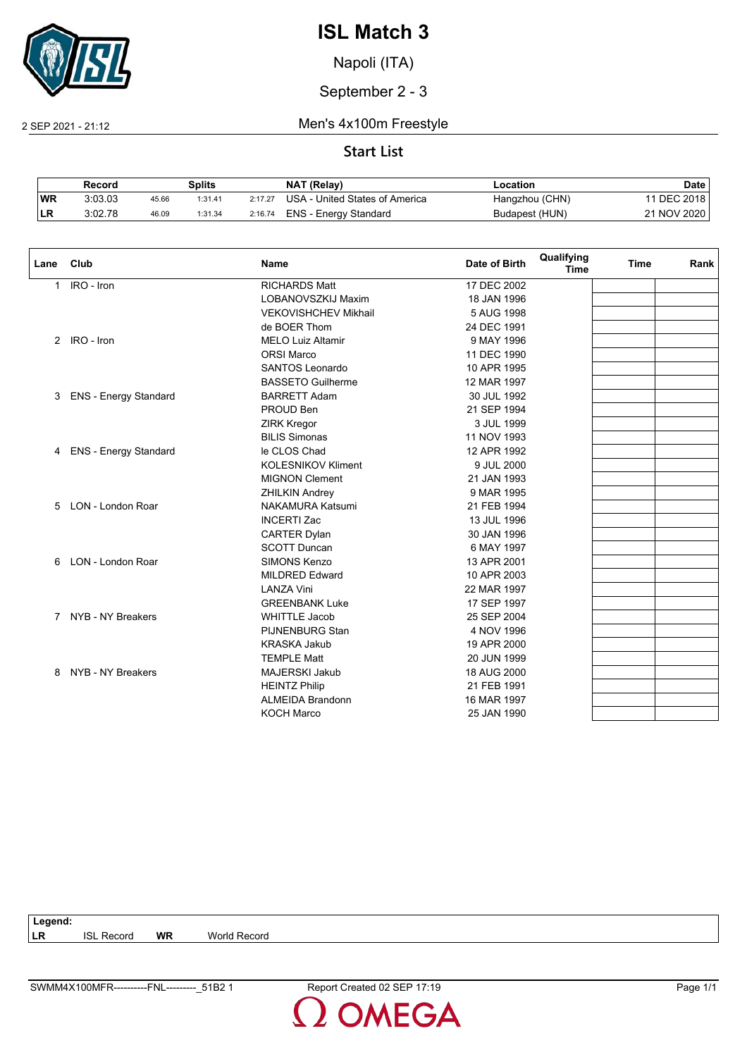

Napoli (ITA)

September 2 - 3

2 SEP 2021 - 21:12 Men's 4x100m Freestyle

|           | Record  |       | Splits  |         | NAT (Relay)                    | ∟ocation       | Date        |
|-----------|---------|-------|---------|---------|--------------------------------|----------------|-------------|
| <b>WR</b> | 3:03.03 | 45.66 | 1:31.41 | 2:17.27 | USA - United States of America | Hangzhou (CHN) | 11 DEC 2018 |
| 'LR       | 3:02.78 | 46.09 | 1:31.34 | 2:16.74 | ENS - Energy Standard          | Budapest (HUN) | 21 NOV 2020 |

| Lane | Club                         | <b>Name</b>                 | Date of Birth | Qualifying<br><b>Time</b> | <b>Time</b> | Rank |
|------|------------------------------|-----------------------------|---------------|---------------------------|-------------|------|
| 1    | IRO - Iron                   | <b>RICHARDS Matt</b>        | 17 DEC 2002   |                           |             |      |
|      |                              | LOBANOVSZKIJ Maxim          | 18 JAN 1996   |                           |             |      |
|      |                              | <b>VEKOVISHCHEV Mikhail</b> | 5 AUG 1998    |                           |             |      |
|      |                              | de BOER Thom                | 24 DEC 1991   |                           |             |      |
|      | 2 IRO - Iron                 | <b>MELO Luiz Altamir</b>    | 9 MAY 1996    |                           |             |      |
|      |                              | <b>ORSI Marco</b>           | 11 DEC 1990   |                           |             |      |
|      |                              | SANTOS Leonardo             | 10 APR 1995   |                           |             |      |
|      |                              | <b>BASSETO Guilherme</b>    | 12 MAR 1997   |                           |             |      |
| 3    | <b>ENS - Energy Standard</b> | <b>BARRETT Adam</b>         | 30 JUL 1992   |                           |             |      |
|      |                              | PROUD Ben                   | 21 SEP 1994   |                           |             |      |
|      |                              | <b>ZIRK Kregor</b>          | 3 JUL 1999    |                           |             |      |
|      |                              | <b>BILIS Simonas</b>        | 11 NOV 1993   |                           |             |      |
| 4    | ENS - Energy Standard        | le CLOS Chad                | 12 APR 1992   |                           |             |      |
|      |                              | <b>KOLESNIKOV Kliment</b>   | 9 JUL 2000    |                           |             |      |
|      |                              | <b>MIGNON Clement</b>       | 21 JAN 1993   |                           |             |      |
|      |                              | <b>ZHILKIN Andrey</b>       | 9 MAR 1995    |                           |             |      |
| 5    | LON - London Roar            | <b>NAKAMURA Katsumi</b>     | 21 FEB 1994   |                           |             |      |
|      |                              | <b>INCERTI Zac</b>          | 13 JUL 1996   |                           |             |      |
|      |                              | <b>CARTER Dylan</b>         | 30 JAN 1996   |                           |             |      |
|      |                              | <b>SCOTT Duncan</b>         | 6 MAY 1997    |                           |             |      |
| 6    | LON - London Roar            | SIMONS Kenzo                | 13 APR 2001   |                           |             |      |
|      |                              | <b>MILDRED Edward</b>       | 10 APR 2003   |                           |             |      |
|      |                              | <b>LANZA Vini</b>           | 22 MAR 1997   |                           |             |      |
|      |                              | <b>GREENBANK Luke</b>       | 17 SEP 1997   |                           |             |      |
|      | 7 NYB - NY Breakers          | <b>WHITTLE Jacob</b>        | 25 SEP 2004   |                           |             |      |
|      |                              | <b>PIJNENBURG Stan</b>      | 4 NOV 1996    |                           |             |      |
|      |                              | <b>KRASKA Jakub</b>         | 19 APR 2000   |                           |             |      |
|      |                              | <b>TEMPLE Matt</b>          | 20 JUN 1999   |                           |             |      |
| 8    | NYB - NY Breakers            | <b>MAJERSKI Jakub</b>       | 18 AUG 2000   |                           |             |      |
|      |                              | <b>HEINTZ Philip</b>        | 21 FEB 1991   |                           |             |      |
|      |                              | <b>ALMEIDA Brandonn</b>     | 16 MAR 1997   |                           |             |      |
|      |                              | <b>KOCH Marco</b>           | 25 JAN 1990   |                           |             |      |

| Legend:   |                   |    |              |
|-----------|-------------------|----|--------------|
| <b>LR</b> | <b>ISL Record</b> | WR | World Record |
|           |                   |    |              |
|           |                   |    |              |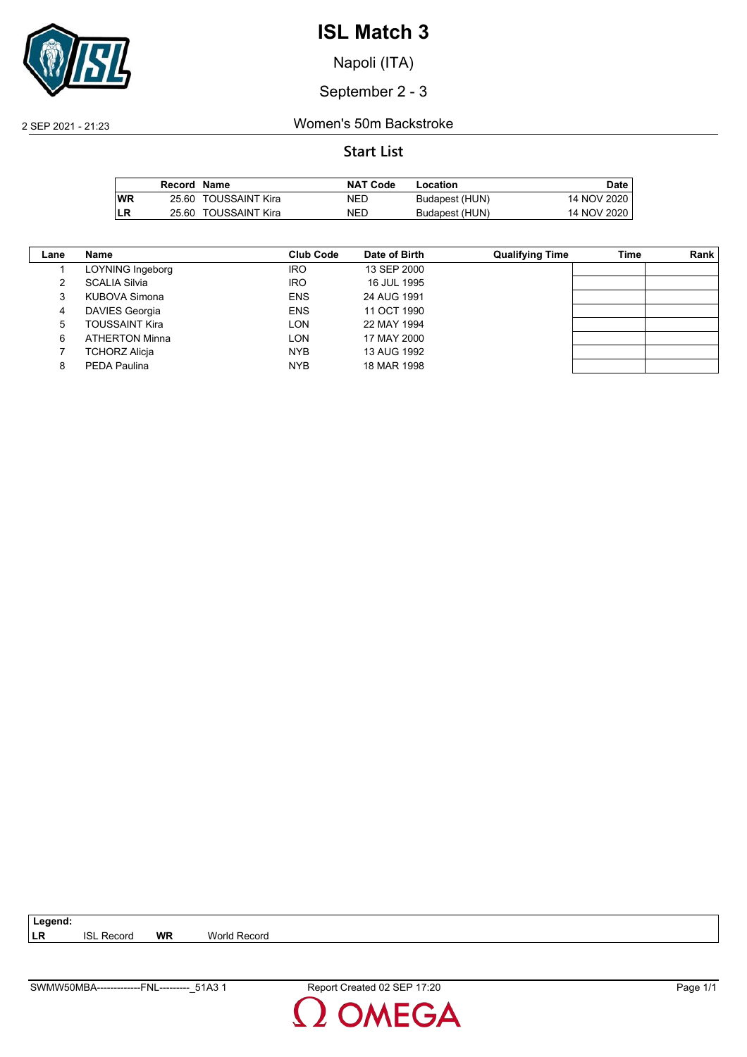

Napoli (ITA)

September 2 - 3

2 SEP 2021 - 21:23 Women's 50m Backstroke

#### **Start List**

|            | Record Name |                      | <b>NAT Code</b> | Location       | <b>Date</b> |
|------------|-------------|----------------------|-----------------|----------------|-------------|
| <b>IWR</b> |             | 25.60 TOUSSAINT Kira | NED             | Budapest (HUN) | 14 NOV 2020 |
| LR         | 25.60       | TOUSSAINT Kira       | NED             | Budapest (HUN) | 14 NOV 2020 |

| Lane | Name                  | Club Code  | Date of Birth | <b>Qualifying Time</b> | Time | Rank |
|------|-----------------------|------------|---------------|------------------------|------|------|
|      | LOYNING Ingeborg      | <b>IRO</b> | 13 SEP 2000   |                        |      |      |
|      | <b>SCALIA Silvia</b>  | <b>IRO</b> | 16 JUL 1995   |                        |      |      |
| 3    | KUBOVA Simona         | <b>ENS</b> | 24 AUG 1991   |                        |      |      |
| 4    | <b>DAVIES Georgia</b> | <b>ENS</b> | 11 OCT 1990   |                        |      |      |
| 5    | TOUSSAINT Kira        | LON        | 22 MAY 1994   |                        |      |      |
| 6    | <b>ATHERTON Minna</b> | LON        | 17 MAY 2000   |                        |      |      |
|      | <b>TCHORZ Alicja</b>  | <b>NYB</b> | 13 AUG 1992   |                        |      |      |
| 8    | PEDA Paulina          | <b>NYB</b> | 18 MAR 1998   |                        |      |      |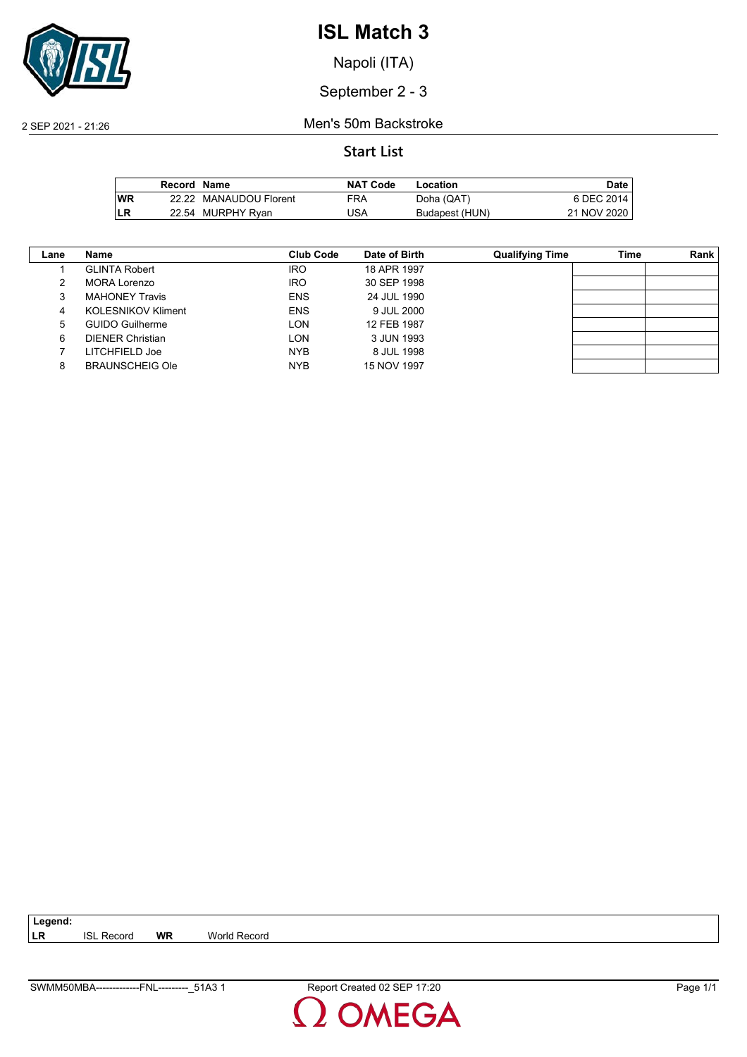

Napoli (ITA)

September 2 - 3

2 SEP 2021 - 21:26 Men's 50m Backstroke

|      | Record Name |                        | <b>NAT Code</b> | Location       | Date        |
|------|-------------|------------------------|-----------------|----------------|-------------|
| l WR |             | 22.22 MANAUDOU Florent | FRA             | Doha (QAT)     | 6 DEC 2014  |
| ILR  |             | 22.54 MURPHY Ryan      | USA             | Budapest (HUN) | 21 NOV 2020 |

| Lane | Name                      | Club Code  | Date of Birth | <b>Qualifying Time</b> | Time | Rank |
|------|---------------------------|------------|---------------|------------------------|------|------|
|      | <b>GLINTA Robert</b>      | <b>IRO</b> | 18 APR 1997   |                        |      |      |
|      | MORA Lorenzo              | <b>IRO</b> | 30 SEP 1998   |                        |      |      |
|      | <b>MAHONEY Travis</b>     | <b>ENS</b> | 24 JUL 1990   |                        |      |      |
| 4    | <b>KOLESNIKOV Kliment</b> | <b>ENS</b> | 9 JUL 2000    |                        |      |      |
| 5    | <b>GUIDO Guilherme</b>    | LON        | 12 FEB 1987   |                        |      |      |
| 6    | <b>DIENER Christian</b>   | LON        | 3 JUN 1993    |                        |      |      |
|      | LITCHFIELD Joe            | <b>NYB</b> | 8 JUL 1998    |                        |      |      |
| 8    | <b>BRAUNSCHEIG Ole</b>    | <b>NYB</b> | 15 NOV 1997   |                        |      |      |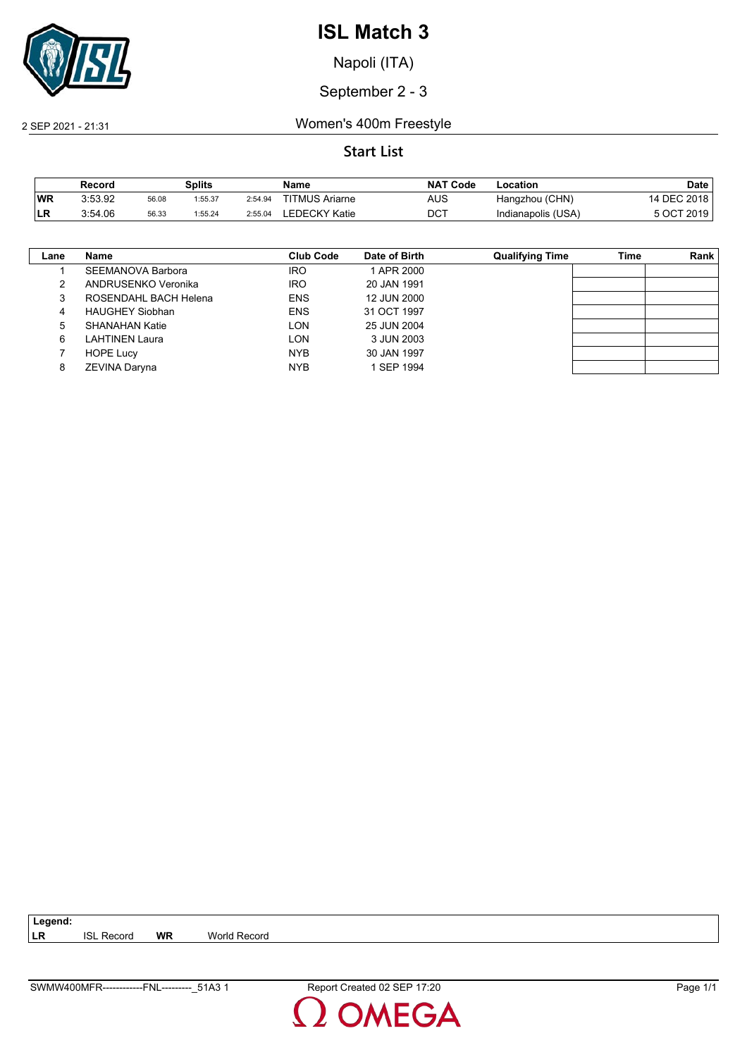

Napoli (ITA)

September 2 - 3

2 SEP 2021 - 21:31 Women's 400m Freestyle

|           | Record  |       | Splits  |         | Name                  | <b>NAT</b><br>ˈ Code | Location           | Date       |
|-----------|---------|-------|---------|---------|-----------------------|----------------------|--------------------|------------|
| <b>WR</b> | 3:53.92 | 56.08 | 1:55.37 | 2:54.94 | <b>TITMUS Ariarne</b> | AUS                  | Hangzhou (CHN)     | 4 DEC 2018 |
| ILR.      | 3:54.06 | 56.33 | 1:55.24 | 2:55.04 | LEDECKY Katie         | DCT                  | Indianapolis (USA) | 5 OCT 2019 |

| Lane | <b>Name</b>              | Club Code  | Date of Birth | <b>Qualifying Time</b> | Time | <b>Rank</b> |
|------|--------------------------|------------|---------------|------------------------|------|-------------|
|      | <b>SEEMANOVA Barbora</b> | <b>IRO</b> | 1 APR 2000    |                        |      |             |
| 2    | ANDRUSENKO Veronika      | <b>IRO</b> | 20 JAN 1991   |                        |      |             |
| 3    | ROSENDAHL BACH Helena    | <b>ENS</b> | 12 JUN 2000   |                        |      |             |
| 4    | <b>HAUGHEY Siobhan</b>   | <b>ENS</b> | 31 OCT 1997   |                        |      |             |
| 5    | SHANAHAN Katie           | LON        | 25 JUN 2004   |                        |      |             |
| 6    | LAHTINEN Laura           | LON        | 3 JUN 2003    |                        |      |             |
|      | <b>HOPE Lucy</b>         | <b>NYB</b> | 30 JAN 1997   |                        |      |             |
| 8    | ZEVINA Daryna            | <b>NYB</b> | 1 SEP 1994    |                        |      |             |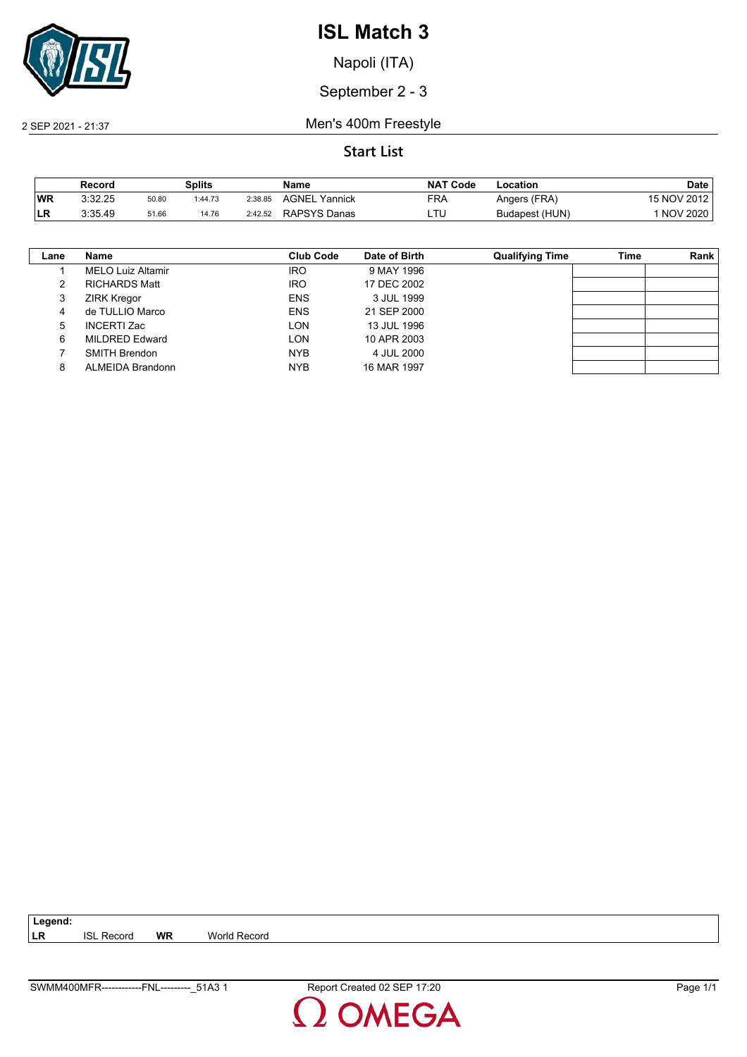

Napoli (ITA)

September 2 - 3

2 SEP 2021 - 21:37 Men's 400m Freestyle

|      | Record  |       | Splits  |         | Name                | <b>NAT Code</b> | Location       | Date            |
|------|---------|-------|---------|---------|---------------------|-----------------|----------------|-----------------|
| WR   | 3:32.25 | 50.80 | 1:44.73 | 2:38.85 | AGNEL<br>Yannick    | FRA             | Angers (FRA)   | 15 NOV 2012     |
| ILR. | 3:35.49 | 51.66 | 14.76   | 2:42.52 | <b>RAPSYS Danas</b> | LTL             | Budapest (HUN) | <b>NOV 2020</b> |

| Lane | Name                     | <b>Club Code</b> | Date of Birth | <b>Qualifying Time</b> | Time | Rank |
|------|--------------------------|------------------|---------------|------------------------|------|------|
|      | <b>MELO Luiz Altamir</b> | <b>IRO</b>       | 9 MAY 1996    |                        |      |      |
| 2    | <b>RICHARDS Matt</b>     | <b>IRO</b>       | 17 DEC 2002   |                        |      |      |
| 3    | <b>ZIRK Kregor</b>       | <b>ENS</b>       | 3 JUL 1999    |                        |      |      |
| 4    | de TULLIO Marco          | <b>ENS</b>       | 21 SEP 2000   |                        |      |      |
| 5    | <b>INCERTI Zac</b>       | LON              | 13 JUL 1996   |                        |      |      |
| 6    | MILDRED Edward           | LON              | 10 APR 2003   |                        |      |      |
|      | <b>SMITH Brendon</b>     | <b>NYB</b>       | 4 JUL 2000    |                        |      |      |
| 8    | ALMEIDA Brandonn         | <b>NYB</b>       | 16 MAR 1997   |                        |      |      |

| Legend:   |                   |    |              |  |
|-----------|-------------------|----|--------------|--|
| <b>LR</b> | <b>ISL Record</b> | WR | World Record |  |
|           |                   |    |              |  |
|           |                   |    |              |  |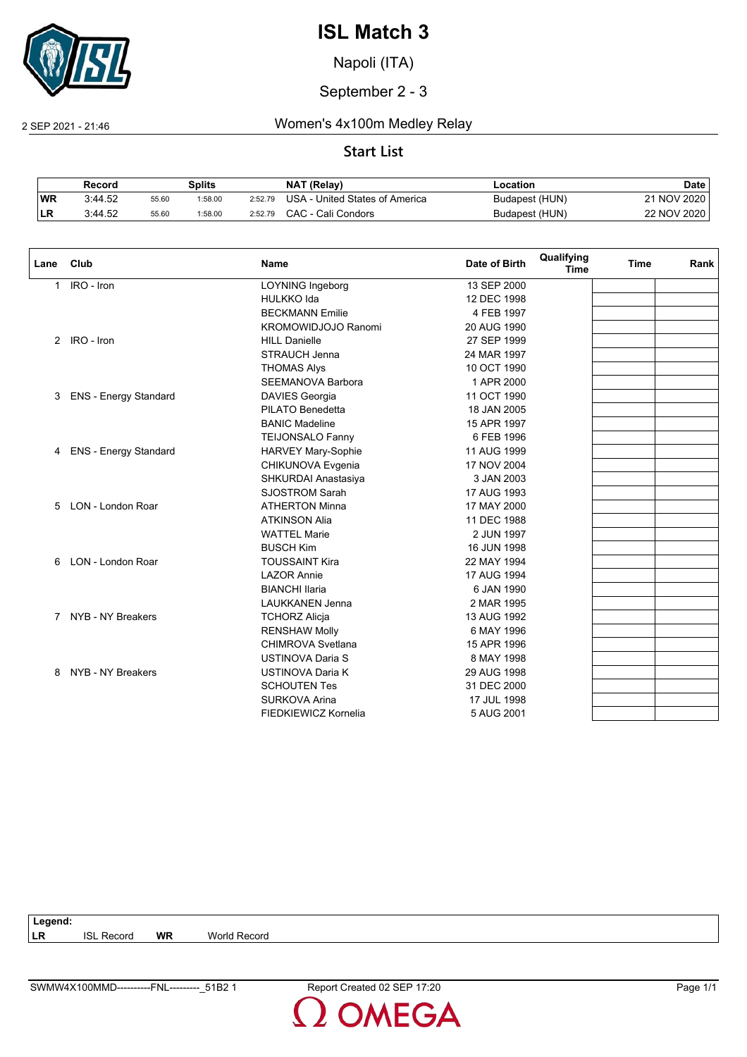

Napoli (ITA)

September 2 - 3

2 SEP 2021 - 21:46 Women's 4x100m Medley Relay

|            | Record  |       | Splits  |         | <b>NAT (Relay)</b>             | .ocation       | Date        |
|------------|---------|-------|---------|---------|--------------------------------|----------------|-------------|
| <b>WR</b>  | 3:44.52 | 55.60 | 1:58.00 | 2:52.79 | USA - United States of America | Budapest (HUN) | 21 NOV 2020 |
| <b>ILR</b> | 3:44.52 | 55.60 | :58.00  | 2:52.79 | CAC - Cali Condors             | Budapest (HUN) | 22 NOV 2020 |

| Lane | Club                         | <b>Name</b>               | Date of Birth | Qualifying<br><b>Time</b> | <b>Time</b> | Rank |
|------|------------------------------|---------------------------|---------------|---------------------------|-------------|------|
| 1    | IRO - Iron                   | <b>LOYNING Ingeborg</b>   | 13 SEP 2000   |                           |             |      |
|      |                              | <b>HULKKO Ida</b>         | 12 DEC 1998   |                           |             |      |
|      |                              | <b>BECKMANN Emilie</b>    | 4 FEB 1997    |                           |             |      |
|      |                              | KROMOWIDJOJO Ranomi       | 20 AUG 1990   |                           |             |      |
|      | 2 IRO - Iron                 | <b>HILL Danielle</b>      | 27 SEP 1999   |                           |             |      |
|      |                              | <b>STRAUCH Jenna</b>      | 24 MAR 1997   |                           |             |      |
|      |                              | <b>THOMAS Alys</b>        | 10 OCT 1990   |                           |             |      |
|      |                              | <b>SEEMANOVA Barbora</b>  | 1 APR 2000    |                           |             |      |
| 3    | <b>ENS - Energy Standard</b> | <b>DAVIES Georgia</b>     | 11 OCT 1990   |                           |             |      |
|      |                              | PILATO Benedetta          | 18 JAN 2005   |                           |             |      |
|      |                              | <b>BANIC Madeline</b>     | 15 APR 1997   |                           |             |      |
|      |                              | <b>TEIJONSALO Fanny</b>   | 6 FEB 1996    |                           |             |      |
| 4    | <b>ENS - Energy Standard</b> | <b>HARVEY Mary-Sophie</b> | 11 AUG 1999   |                           |             |      |
|      |                              | CHIKUNOVA Evgenia         | 17 NOV 2004   |                           |             |      |
|      |                              | SHKURDAI Anastasiya       | 3 JAN 2003    |                           |             |      |
|      |                              | <b>SJOSTROM Sarah</b>     | 17 AUG 1993   |                           |             |      |
| 5    | LON - London Roar            | <b>ATHERTON Minna</b>     | 17 MAY 2000   |                           |             |      |
|      |                              | <b>ATKINSON Alia</b>      | 11 DEC 1988   |                           |             |      |
|      |                              | <b>WATTEL Marie</b>       | 2 JUN 1997    |                           |             |      |
|      |                              | <b>BUSCH Kim</b>          | 16 JUN 1998   |                           |             |      |
| 6    | LON - London Roar            | <b>TOUSSAINT Kira</b>     | 22 MAY 1994   |                           |             |      |
|      |                              | <b>LAZOR Annie</b>        | 17 AUG 1994   |                           |             |      |
|      |                              | <b>BIANCHI Ilaria</b>     | 6 JAN 1990    |                           |             |      |
|      |                              | <b>LAUKKANEN Jenna</b>    | 2 MAR 1995    |                           |             |      |
| 7    | NYB - NY Breakers            | <b>TCHORZ Alicja</b>      | 13 AUG 1992   |                           |             |      |
|      |                              | <b>RENSHAW Molly</b>      | 6 MAY 1996    |                           |             |      |
|      |                              | CHIMROVA Svetlana         | 15 APR 1996   |                           |             |      |
|      |                              | <b>USTINOVA Daria S</b>   | 8 MAY 1998    |                           |             |      |
| 8    | NYB - NY Breakers            | <b>USTINOVA Daria K</b>   | 29 AUG 1998   |                           |             |      |
|      |                              | <b>SCHOUTEN Tes</b>       | 31 DEC 2000   |                           |             |      |
|      |                              | <b>SURKOVA Arina</b>      | 17 JUL 1998   |                           |             |      |
|      |                              | FIEDKIEWICZ Kornelia      | 5 AUG 2001    |                           |             |      |

| Legend:   |                   |           |              |
|-----------|-------------------|-----------|--------------|
| <b>LR</b> | <b>ISL Record</b> | <b>WR</b> | World Record |
|           |                   |           |              |
|           |                   |           |              |